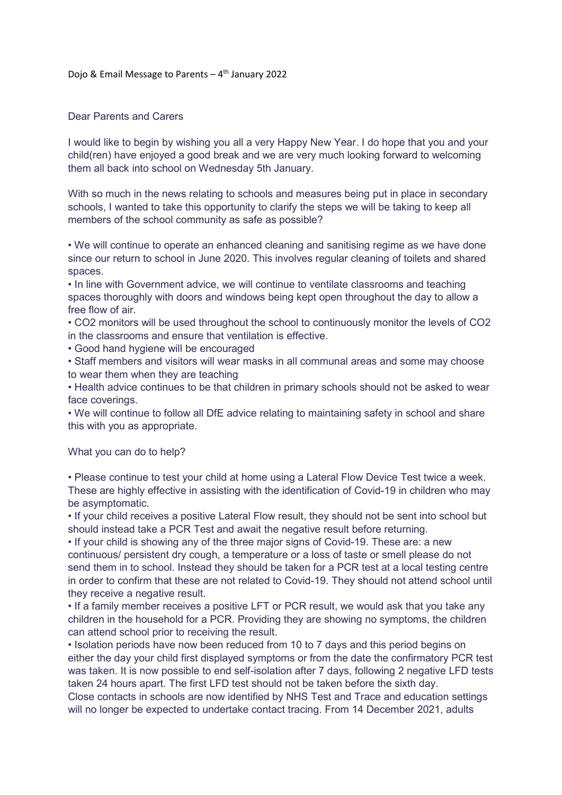## Dojo & Email Message to Parents  $-4$ <sup>th</sup> January 2022

## Dear Parents and Carers

I would like to begin by wishing you all a very Happy New Year. I do hope that you and your child(ren) have enjoyed a good break and we are very much looking forward to welcoming them all back into school on Wednesday 5th January.

With so much in the news relating to schools and measures being put in place in secondary schools, I wanted to take this opportunity to clarify the steps we will be taking to keep all members of the school community as safe as possible?

• We will continue to operate an enhanced cleaning and sanitising regime as we have done since our return to school in June 2020. This involves regular cleaning of toilets and shared spaces.

• In line with Government advice, we will continue to ventilate classrooms and teaching spaces thoroughly with doors and windows being kept open throughout the day to allow a free flow of air.

• CO2 monitors will be used throughout the school to continuously monitor the levels of CO2 in the classrooms and ensure that ventilation is effective.

• Good hand hygiene will be encouraged

• Staff members and visitors will wear masks in all communal areas and some may choose to wear them when they are teaching

• Health advice continues to be that children in primary schools should not be asked to wear face coverings.

• We will continue to follow all DfE advice relating to maintaining safety in school and share this with you as appropriate.

## What you can do to help?

• Please continue to test your child at home using a Lateral Flow Device Test twice a week. These are highly effective in assisting with the identification of Covid-19 in children who may be asymptomatic.

• If your child receives a positive Lateral Flow result, they should not be sent into school but should instead take a PCR Test and await the negative result before returning.

• If your child is showing any of the three major signs of Covid-19. These are: a new continuous/ persistent dry cough, a temperature or a loss of taste or smell please do not send them in to school. Instead they should be taken for a PCR test at a local testing centre in order to confirm that these are not related to Covid-19. They should not attend school until they receive a negative result.

• If a family member receives a positive LFT or PCR result, we would ask that you take any children in the household for a PCR. Providing they are showing no symptoms, the children can attend school prior to receiving the result.

• Isolation periods have now been reduced from 10 to 7 days and this period begins on either the day your child first displayed symptoms or from the date the confirmatory PCR test was taken. It is now possible to end self-isolation after 7 days, following 2 negative LFD tests taken 24 hours apart. The first LFD test should not be taken before the sixth day.

Close contacts in schools are now identified by NHS Test and Trace and education settings will no longer be expected to undertake contact tracing. From 14 December 2021, adults